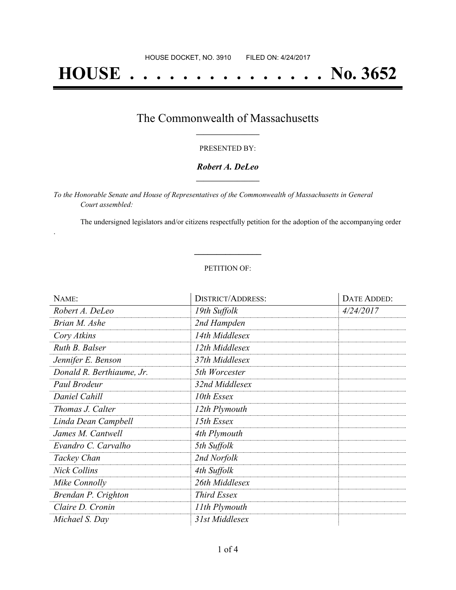# **HOUSE . . . . . . . . . . . . . . . No. 3652**

## The Commonwealth of Massachusetts **\_\_\_\_\_\_\_\_\_\_\_\_\_\_\_\_\_**

#### PRESENTED BY:

### *Robert A. DeLeo* **\_\_\_\_\_\_\_\_\_\_\_\_\_\_\_\_\_**

*To the Honorable Senate and House of Representatives of the Commonwealth of Massachusetts in General Court assembled:*

.

The undersigned legislators and/or citizens respectfully petition for the adoption of the accompanying order

#### PETITION OF:

**\_\_\_\_\_\_\_\_\_\_\_\_\_\_\_**

| NAME:                     | <b>DISTRICT/ADDRESS:</b> | DATE ADDED: |
|---------------------------|--------------------------|-------------|
| Robert A. DeLeo           | 19th Suffolk             | 4/24/2017   |
| Brian M. Ashe             | 2nd Hampden              |             |
| Cory Atkins               | 14th Middlesex           |             |
| Ruth B. Balser            | 12th Middlesex           |             |
| Jennifer E. Benson        | 37th Middlesex           |             |
| Donald R. Berthiaume, Jr. | 5th Worcester            |             |
| Paul Brodeur              | 32nd Middlesex           |             |
| Daniel Cahill             | 10th Essex               |             |
| Thomas J. Calter          | 12th Plymouth            |             |
| Linda Dean Campbell       | 15th Essex               |             |
| James M. Cantwell         | 4th Plymouth             |             |
| Evandro C. Carvalho       | 5th Suffolk              |             |
| Tackey Chan               | 2nd Norfolk              |             |
| <b>Nick Collins</b>       | 4th Suffolk              |             |
| Mike Connolly             | 26th Middlesex           |             |
| Brendan P. Crighton       | <b>Third Essex</b>       |             |
| Claire D. Cronin          | 11th Plymouth            |             |
| Michael S. Day            | 31st Middlesex           |             |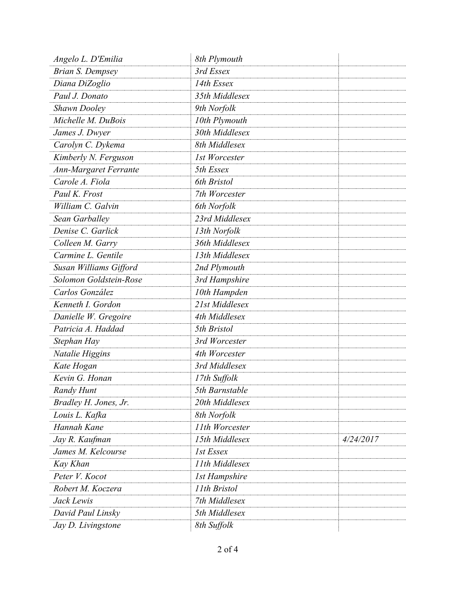| Angelo L. D'Emilia      | 8th Plymouth         |           |
|-------------------------|----------------------|-----------|
| <b>Brian S. Dempsey</b> | 3rd Essex            |           |
| Diana DiZoglio          | 14th Essex           |           |
| Paul J. Donato          | 35th Middlesex       |           |
| <b>Shawn Dooley</b>     | 9th Norfolk          |           |
| Michelle M. DuBois      | 10th Plymouth        |           |
| James J. Dwyer          | 30th Middlesex       |           |
| Carolyn C. Dykema       | 8th Middlesex        |           |
| Kimberly N. Ferguson    | 1st Worcester        |           |
| Ann-Margaret Ferrante   | 5th Essex            |           |
| Carole A. Fiola         | 6th Bristol          |           |
| Paul K. Frost           | 7th Worcester        |           |
| William C. Galvin       | 6th Norfolk          |           |
| Sean Garballey          | 23rd Middlesex       |           |
| Denise C. Garlick       | 13th Norfolk         |           |
| Colleen M. Garry        | 36th Middlesex       |           |
| Carmine L. Gentile      | 13th Middlesex       |           |
| Susan Williams Gifford  | 2nd Plymouth         |           |
| Solomon Goldstein-Rose  | 3rd Hampshire        |           |
| Carlos González         | 10th Hampden         |           |
| Kenneth I. Gordon       | 21st Middlesex       |           |
| Danielle W. Gregoire    | 4th Middlesex        |           |
| Patricia A. Haddad      | 5th Bristol          |           |
| Stephan Hay             | 3rd Worcester        |           |
| Natalie Higgins         | 4th Worcester        |           |
| Kate Hogan              | 3rd Middlesex        |           |
| Kevin G. Honan          | 17th Suffolk         |           |
| <b>Randy Hunt</b>       | 5th Barnstable       |           |
| Bradley H. Jones, Jr.   | 20th Middlesex       |           |
| Louis L. Kafka          | 8th Norfolk          |           |
| Hannah Kane             | 11th Worcester       |           |
| Jay R. Kaufman          | 15th Middlesex       | 4/24/2017 |
| James M. Kelcourse      | 1st Essex            |           |
| Kay Khan                | 11th Middlesex       |           |
| Peter V. Kocot          | <b>1st Hampshire</b> |           |
| Robert M. Koczera       | 11th Bristol         |           |
| Jack Lewis              | 7th Middlesex        |           |
| David Paul Linsky       | 5th Middlesex        |           |
| Jay D. Livingstone      | 8th Suffolk          |           |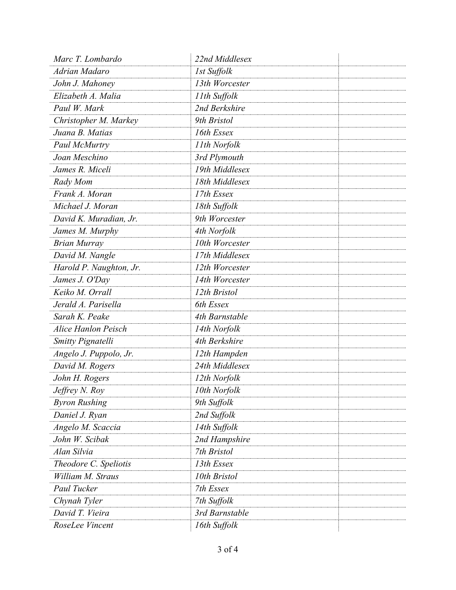| Marc T. Lombardo           | 22nd Middlesex |
|----------------------------|----------------|
| Adrian Madaro              | 1st Suffolk    |
| John J. Mahoney            | 13th Worcester |
| Elizabeth A. Malia         | 11th Suffolk   |
| Paul W. Mark               | 2nd Berkshire  |
| Christopher M. Markey      | 9th Bristol    |
| Juana B. Matias            | 16th Essex     |
| Paul McMurtry              | 11th Norfolk   |
| Joan Meschino              | 3rd Plymouth   |
| James R. Miceli            | 19th Middlesex |
| Rady Mom                   | 18th Middlesex |
| Frank A. Moran             | 17th Essex     |
| Michael J. Moran           | 18th Suffolk   |
| David K. Muradian, Jr.     | 9th Worcester  |
| James M. Murphy            | 4th Norfolk    |
| <b>Brian Murray</b>        | 10th Worcester |
| David M. Nangle            | 17th Middlesex |
| Harold P. Naughton, Jr.    | 12th Worcester |
| James J. O'Day             | 14th Worcester |
| Keiko M. Orrall            | 12th Bristol   |
| Jerald A. Parisella        | 6th Essex      |
| Sarah K. Peake             | 4th Barnstable |
| <b>Alice Hanlon Peisch</b> | 14th Norfolk   |
| <b>Smitty Pignatelli</b>   | 4th Berkshire  |
| Angelo J. Puppolo, Jr.     | 12th Hampden   |
| David M. Rogers            | 24th Middlesex |
| John H. Rogers             | 12th Norfolk   |
| Jeffrey N. Roy             | 10th Norfolk   |
| <b>Byron Rushing</b>       | 9th Suffolk    |
| Daniel J. Ryan             | 2nd Suffolk    |
| Angelo M. Scaccia          | 14th Suffolk   |
| John W. Scibak             | 2nd Hampshire  |
| Alan Silvia                | 7th Bristol    |
| Theodore C. Speliotis      | 13th Essex     |
| William M. Straus          | 10th Bristol   |
| Paul Tucker                | 7th Essex      |
| Chynah Tyler               | 7th Suffolk    |
| David T. Vieira            | 3rd Barnstable |
| RoseLee Vincent            | 16th Suffolk   |
|                            |                |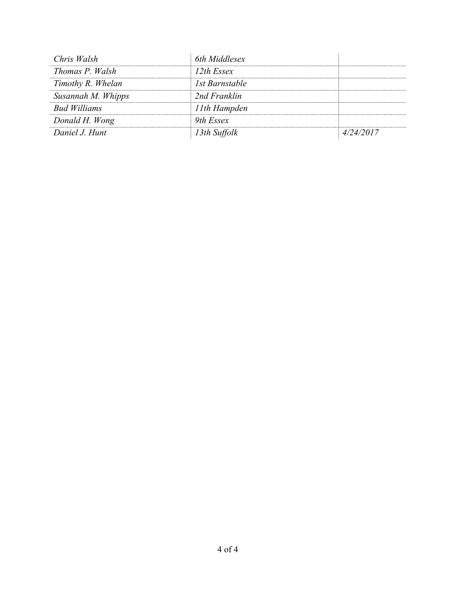| Chris Walsh         | 6th Middlesex  |           |
|---------------------|----------------|-----------|
| Thomas P. Walsh     | 12th Essex     |           |
| Timothy R. Whelan   | 1st Barnstable |           |
| Susannah M. Whipps  | 2nd Franklin   |           |
| <b>Bud Williams</b> | 11th Hampden   |           |
| Donald H. Wong      | 9th Essex      |           |
| Daniel J. Hunt      | 13th Suffolk   | 4/24/2017 |
|                     |                |           |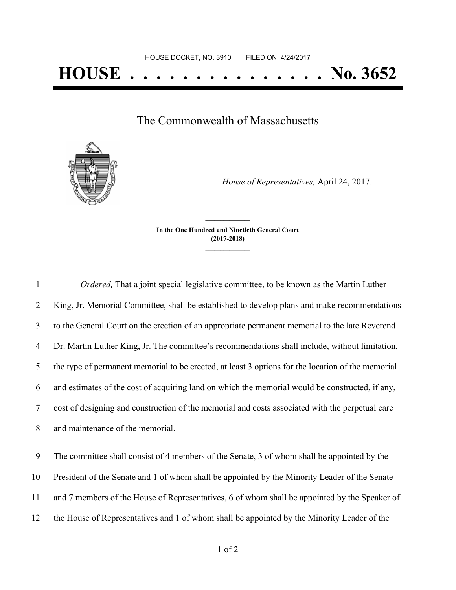The Commonwealth of Massachusetts



*House of Representatives,* April 24, 2017.

**In the One Hundred and Ninetieth General Court (2017-2018) \_\_\_\_\_\_\_\_\_\_\_\_\_\_\_**

**\_\_\_\_\_\_\_\_\_\_\_\_\_\_\_**

 *Ordered,* That a joint special legislative committee, to be known as the Martin Luther King, Jr. Memorial Committee, shall be established to develop plans and make recommendations to the General Court on the erection of an appropriate permanent memorial to the late Reverend Dr. Martin Luther King, Jr. The committee's recommendations shall include, without limitation, the type of permanent memorial to be erected, at least 3 options for the location of the memorial and estimates of the cost of acquiring land on which the memorial would be constructed, if any, cost of designing and construction of the memorial and costs associated with the perpetual care and maintenance of the memorial.

 The committee shall consist of 4 members of the Senate, 3 of whom shall be appointed by the President of the Senate and 1 of whom shall be appointed by the Minority Leader of the Senate and 7 members of the House of Representatives, 6 of whom shall be appointed by the Speaker of the House of Representatives and 1 of whom shall be appointed by the Minority Leader of the